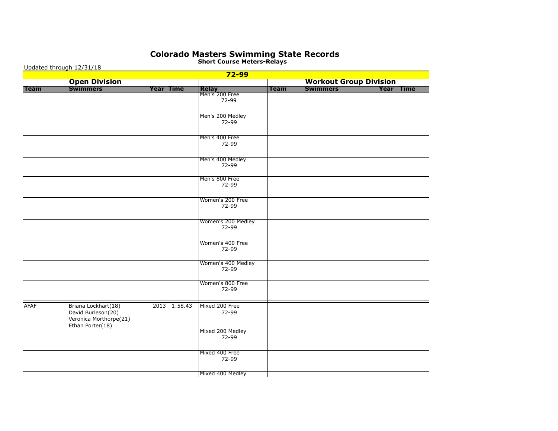## **Colorado Masters Swimming State Records**

Updated through 12/31/18  **72-99 Open Division Workout Group Division Team Swimmers Year Time Relay Team Swimmers Year Time**Relay<br>Men's 200 Free 72-99 Men's 200 Medley 72-99 Men's 400 Free 72-99 Men's 400 Medley 72-99 Men's 800 Free 72-99 Women's 200 Free 72-99 Women's 200 Medley 72-99 Women's 400 Free 72-99 Women's 400 Medley 72-99 Women's 800 Free 72-99 AFAF Briana Lockhart(18) 2013 1:58.43 Mixed 200 Free David Burleson(20) 22-99 Veronica Morthorpe(21) Ethan Porter(18) Mixed 200 Medley 72-99 Mixed 400 Free 72-99 Mixed 400 Medley

**Short Course Meters-Relays**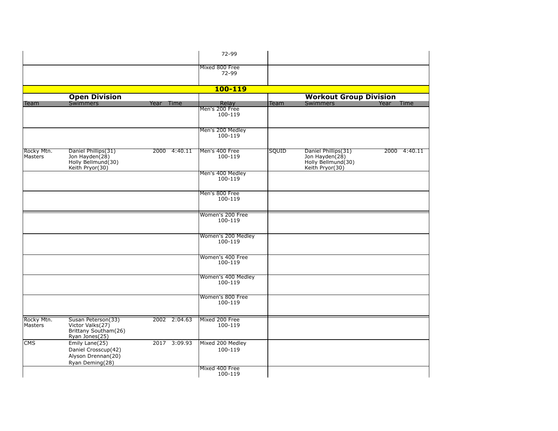|                       |                                                                                  |              | 72-99                         |       |                                                                                |              |
|-----------------------|----------------------------------------------------------------------------------|--------------|-------------------------------|-------|--------------------------------------------------------------------------------|--------------|
|                       |                                                                                  |              | Mixed 800 Free<br>72-99       |       |                                                                                |              |
|                       |                                                                                  |              | 100-119                       |       |                                                                                |              |
|                       | <b>Open Division</b>                                                             |              |                               |       | <b>Workout Group Division</b>                                                  |              |
| Team                  | <b>Swimmers</b>                                                                  | Year<br>Time | Relay                         | Team  | <b>Swimmers</b>                                                                | Year<br>Time |
|                       |                                                                                  |              | Men's 200 Free<br>100-119     |       |                                                                                |              |
|                       |                                                                                  |              | Men's 200 Medley<br>100-119   |       |                                                                                |              |
| Rocky Mtn.<br>Masters | Daniel Phillips(31)<br>Jon Hayden(28)<br>Holly Bellmund(30)<br>Keith Pryor(30)   | 2000 4:40.11 | Men's 400 Free<br>100-119     | SQUID | Daniel Phillips(31)<br>Jon Hayden(28)<br>Holly Bellmund(30)<br>Keith Pryor(30) | 2000 4:40.11 |
|                       |                                                                                  |              | Men's 400 Medley<br>100-119   |       |                                                                                |              |
|                       |                                                                                  |              | Men's 800 Free<br>100-119     |       |                                                                                |              |
|                       |                                                                                  |              | Women's 200 Free<br>100-119   |       |                                                                                |              |
|                       |                                                                                  |              | Women's 200 Medley<br>100-119 |       |                                                                                |              |
|                       |                                                                                  |              | Women's 400 Free<br>100-119   |       |                                                                                |              |
|                       |                                                                                  |              | Women's 400 Medley<br>100-119 |       |                                                                                |              |
|                       |                                                                                  |              | Women's 800 Free<br>100-119   |       |                                                                                |              |
| Rocky Mtn.<br>Masters | Susan Peterson(33)<br>Victor Valks(27)<br>Brittany Southam(26)<br>Ryan Jones(25) | 2002 2:04.63 | Mixed 200 Free<br>100-119     |       |                                                                                |              |
| <b>CMS</b>            | Emily Lane(25)<br>Daniel Crosscup(42)<br>Alyson Drennan(20)<br>Ryan Deming(28)   | 2017 3:09.93 | Mixed 200 Medley<br>100-119   |       |                                                                                |              |
|                       |                                                                                  |              | Mixed 400 Free<br>100-119     |       |                                                                                |              |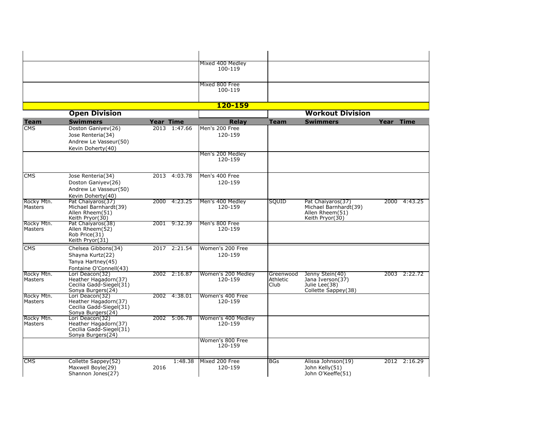| Mixed 400 Medley<br>100-119 |  |
|-----------------------------|--|
|                             |  |
| Mixed 800 Free<br>100-119   |  |
| 120-159                     |  |

|                       | <b>Open Division</b>                                                                    |                  |              |                               |                               | <b>Workout Division</b>                                                          |      |              |
|-----------------------|-----------------------------------------------------------------------------------------|------------------|--------------|-------------------------------|-------------------------------|----------------------------------------------------------------------------------|------|--------------|
| <b>Team</b>           | <b>Swimmers</b>                                                                         | <b>Year Time</b> |              | Relay                         | <b>Team</b>                   | <b>Swimmers</b>                                                                  | Year | <b>Time</b>  |
| <b>CMS</b>            | Doston Ganiyev(26)<br>Jose Renteria(34)<br>Andrew Le Vasseur(50)<br>Kevin Doherty(40)   |                  | 2013 1:47.66 | lMen's 200 Free<br>120-159    |                               |                                                                                  |      |              |
|                       |                                                                                         |                  |              | Men's 200 Medley<br>120-159   |                               |                                                                                  |      |              |
| <b>CMS</b>            | Jose Renteria(34)<br>Doston Ganiyev(26)<br>Andrew Le Vasseur(50)<br>Kevin Doherty(40)   |                  | 2013 4:03.78 | lMen's 400 Free<br>120-159    |                               |                                                                                  |      |              |
| Rocky Mtn.<br>Masters | Pat Chaiyaros (37)<br>Michael Barnhardt(39)<br>Allen Rheem(51)<br>Keith Pryor(30)       |                  | 2000 4:23.25 | Men's 400 Medley<br>120-159   | SQUID                         | Pat Chaiyaros(37)<br>Michael Barnhardt(39)<br>Allen Rheem(51)<br>Keith Pryor(30) |      | 2000 4:43.25 |
| Rocky Mtn.<br>Masters | Pat Chaiyaros (38)<br>Allen Rheem(52)<br>Rob Price(31)<br>Keith Pryor(31)               |                  | 2001 9:32.39 | Men's 800 Free<br>120-159     |                               |                                                                                  |      |              |
| <b>CMS</b>            | Chelsea Gibbons(34)<br>Shayna Kurtz(22)<br>Tanya Hartney(45)<br>Fontaine O'Connell(43)  |                  | 2017 2:21.54 | Women's 200 Free<br>120-159   |                               |                                                                                  |      |              |
| Rocky Mtn.<br>Masters | Lori Deacon(32)<br>Heather Hagadorn(37)<br>Cecilia Gadd-Siegel(31)<br>Sonya Burgers(24) |                  | 2002 2:16.87 | Women's 200 Medley<br>120-159 | Greenwood<br>Athletic<br>Club | Jenny Stein(40)<br>Jana Iverson(37)<br>Julie Lee(38)<br>Collette Sappey(38)      |      | 2003 2:22.72 |
| Rocky Mtn.<br>Masters | Lori Deacon(32)<br>Heather Hagadorn(37)<br>Cecilia Gadd-Siegel(31)<br>Sonya Burgers(24) |                  | 2002 4:38.01 | lWomen's 400 Free<br>120-159  |                               |                                                                                  |      |              |
| Rocky Mtn.<br>Masters | Lori Deacon(32)<br>Heather Hagadorn(37)<br>Cecilia Gadd-Siegel(31)<br>Sonya Burgers(24) |                  | 2002 5:06.78 | Women's 400 Medley<br>120-159 |                               |                                                                                  |      |              |
|                       |                                                                                         |                  |              | Women's 800 Free<br>120-159   |                               |                                                                                  |      |              |
| <b>CMS</b>            | Collette Sappey(52)<br>Maxwell Boyle(29)<br>Shannon Jones(27)                           | 2016             | 1:48.38      | Mixed 200 Free<br>120-159     | BGs                           | Alissa Johnson(19)<br>John Kelly(51)<br>John O'Keeffe(51)                        |      | 2012 2:16.29 |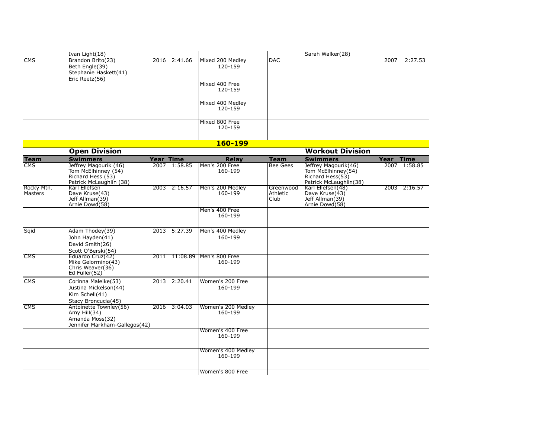|                         | Ivan Light(18)                                                                               |                  |               |                               |                               | Sarah Walker(28)                                                                         |           |              |
|-------------------------|----------------------------------------------------------------------------------------------|------------------|---------------|-------------------------------|-------------------------------|------------------------------------------------------------------------------------------|-----------|--------------|
| <b>CMS</b>              | Brandon Brito(23)<br>Beth Engle(39)<br>Stephanie Haskett(41)<br>Eric Reetz(56)               |                  | 2016 2:41.66  | Mixed 200 Medley<br>120-159   | <b>DAC</b>                    |                                                                                          | 2007      | 2:27.53      |
|                         |                                                                                              |                  |               | Mixed 400 Free<br>120-159     |                               |                                                                                          |           |              |
|                         |                                                                                              |                  |               | Mixed 400 Medley<br>120-159   |                               |                                                                                          |           |              |
|                         |                                                                                              |                  |               | Mixed 800 Free<br>120-159     |                               |                                                                                          |           |              |
|                         |                                                                                              |                  |               | 160-199                       |                               |                                                                                          |           |              |
|                         | <b>Open Division</b>                                                                         |                  |               |                               |                               | <b>Workout Division</b>                                                                  |           |              |
| <b>Team</b>             | <b>Swimmers</b>                                                                              | <b>Year Time</b> |               | <b>Relay</b>                  | <b>Team</b>                   | <b>Swimmers</b>                                                                          | Year Time |              |
| $\overline{\text{CMS}}$ | Jeffrey Magourik (46)<br>Tom McElhinney (54)<br>Richard Hess (53)<br>Patrick McLaughlin (38) |                  | 2007 1:58.85  | Men's 200 Free<br>160-199     | <b>Bee Gees</b>               | Jeffrey Magourik(46)<br>Tom McElhinney(54)<br>Richard Hess(53)<br>Patrick McLaughlin(38) |           | 2007 1:58.85 |
| Rocky Mtn.<br>Masters   | Karl Ellefsen<br>Dave Kruse(43)<br>Jeff Allman(39)<br>Arnie Dowd(58)                         |                  | 2003 2:16.57  | Men's 200 Medley<br>160-199   | Greenwood<br>Athletic<br>Club | Karl Ellefsen(48)<br>Dave Kruse(43)<br>Jeff Allman(39)<br>Arnie Dowd(58)                 |           | 2003 2:16.57 |
|                         |                                                                                              |                  |               | Men's 400 Free<br>160-199     |                               |                                                                                          |           |              |
| Sqid                    | Adam Thodey(39)<br>John Hayden(41)<br>David Smith(26)<br>Scott O'Berski(54)                  |                  | 2013 5:27.39  | Men's 400 Medley<br>160-199   |                               |                                                                                          |           |              |
| <b>CMS</b>              | Eduardo Cruz(42)<br>Mike Gelormino(43)<br>Chris Weaver(36)<br>Ed Fuller(52)                  |                  | 2011 11:08.89 | Men's 800 Free<br>160-199     |                               |                                                                                          |           |              |
| <b>CMS</b>              | Corinna Maleike(53)<br>Justina Mickelson(44)<br>Kim Schell(41)<br>Stacy Broncucia(45)        |                  | 2013 2:20.41  | Women's 200 Free<br>160-199   |                               |                                                                                          |           |              |
| <b>CMS</b>              | Antoinette Townley(56)<br>Amy Hill(34)<br>Amanda Moss(32)<br>Jennifer Markham-Gallegos(42)   |                  | 2016 3:04.03  | Women's 200 Medley<br>160-199 |                               |                                                                                          |           |              |
|                         |                                                                                              |                  |               | Women's 400 Free<br>160-199   |                               |                                                                                          |           |              |
|                         |                                                                                              |                  |               | Women's 400 Medley<br>160-199 |                               |                                                                                          |           |              |
|                         |                                                                                              |                  |               | Women's 800 Free              |                               |                                                                                          |           |              |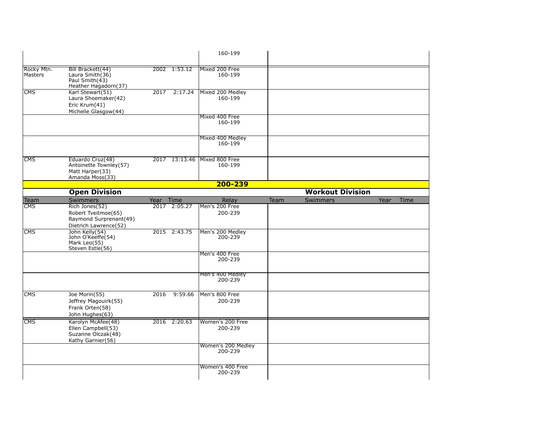|                              |                                                                                          |           |               | 160-199                       |      |                         |      |      |
|------------------------------|------------------------------------------------------------------------------------------|-----------|---------------|-------------------------------|------|-------------------------|------|------|
| Rocky Mtn.<br><b>Masters</b> | Bill Brackett(44)<br>Laura Smith(36)<br>Paul Smith(43)<br>Heather Hagadorn(37)           |           | 2002 1:53.12  | Mixed 200 Free<br>160-199     |      |                         |      |      |
| <b>CMS</b>                   | Karl Stewart(51)<br>Laura Shoemaker(42)<br>Eric Krum(41)<br>Michelle Glasgow(44)         | 2017      | 2:17.24       | Mixed 200 Medley<br>160-199   |      |                         |      |      |
|                              |                                                                                          |           |               | Mixed 400 Free<br>160-199     |      |                         |      |      |
|                              |                                                                                          |           |               | Mixed 400 Medley<br>160-199   |      |                         |      |      |
| <b>CMS</b>                   | Eduardo Cruz(48)<br>Antoinette Townley(57)<br>Matt Harper(33)<br>Amanda Moss(33)         |           | 2017 13:13.46 | Mixed 800 Free<br>160-199     |      |                         |      |      |
|                              |                                                                                          |           |               | 200-239                       |      |                         |      |      |
|                              | <b>Open Division</b>                                                                     |           |               |                               |      | <b>Workout Division</b> |      |      |
| Team                         | Swimmers                                                                                 | Year Time |               | Relay                         | Team | <b>Swimmers</b>         | Year | Time |
| CMS                          | Rich Jones(52)<br>Robert Tveitmoe(65)<br>Raymond Surprenant(49)<br>Dietrich Lawrence(52) |           | 2017 2:05.27  | Men's 200 Free<br>200-239     |      |                         |      |      |
| CMS                          | John Kelly(54)<br>John O'Keeffe(54)<br>Mark Leo(55)<br>Steven Estle(56)                  |           | 2015 2:43.75  | Men's 200 Medley<br>200-239   |      |                         |      |      |
|                              |                                                                                          |           |               | Men's 400 Free<br>200-239     |      |                         |      |      |
|                              |                                                                                          |           |               | Men's 400 Medley<br>200-239   |      |                         |      |      |
| <b>CMS</b>                   | Joe Morin(55)<br>Jeffrey Magouirk(55)<br>Frank Orten(58)<br>John Hughes(63)              | 2016      | 9:59.66       | Men's 800 Free<br>200-239     |      |                         |      |      |
| <b>CMS</b>                   | Karolyn McAfee(48)<br>Ellen Campbell(53)<br>Suzanne Olczak(48)<br>Kathy Garnier(56)      |           | 2016 2:20.63  | Women's 200 Free<br>200-239   |      |                         |      |      |
|                              |                                                                                          |           |               | Women's 200 Medley<br>200-239 |      |                         |      |      |
|                              |                                                                                          |           |               | Women's 400 Free<br>200-239   |      |                         |      |      |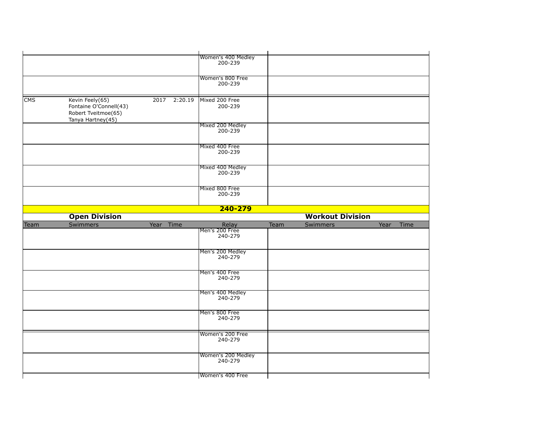|            |                                                                                       |              | Women's 400 Medley<br>200-239      |      |                         |      |      |
|------------|---------------------------------------------------------------------------------------|--------------|------------------------------------|------|-------------------------|------|------|
|            |                                                                                       |              | Women's 800 Free<br>200-239        |      |                         |      |      |
| <b>CMS</b> | Kevin Feely(65)<br>Fontaine O'Connell(43)<br>Robert Tveitmoe(65)<br>Tanya Hartney(45) | 2017 2:20.19 | Mixed 200 Free<br>200-239          |      |                         |      |      |
|            |                                                                                       |              | Mixed 200 Medley<br>200-239        |      |                         |      |      |
|            |                                                                                       |              | Mixed 400 Free<br>200-239          |      |                         |      |      |
|            |                                                                                       |              | Mixed 400 Medley<br>200-239        |      |                         |      |      |
|            |                                                                                       |              | Mixed 800 Free<br>200-239          |      |                         |      |      |
|            | <b>Open Division</b>                                                                  |              | $240 - 279$                        |      | <b>Workout Division</b> |      |      |
|            |                                                                                       |              |                                    |      |                         | Year |      |
| Team       | Swimmers                                                                              | Year Time    | Relay<br>Men's 200 Free<br>240-279 | Team | Swimmers                |      | Time |
|            |                                                                                       |              | Men's 200 Medley<br>240-279        |      |                         |      |      |
|            |                                                                                       |              | Men's 400 Free<br>240-279          |      |                         |      |      |
|            |                                                                                       |              | Men's 400 Medley<br>240-279        |      |                         |      |      |
|            |                                                                                       |              | Men's 800 Free                     |      |                         |      |      |
|            |                                                                                       |              | 240-279                            |      |                         |      |      |
|            |                                                                                       |              | Women's 200 Free<br>240-279        |      |                         |      |      |
|            |                                                                                       |              | Women's 200 Medley<br>240-279      |      |                         |      |      |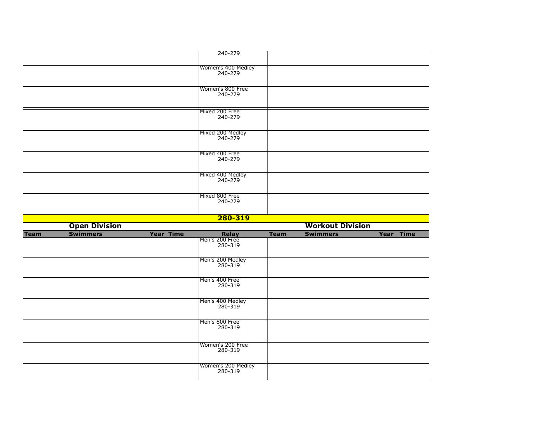|             |                      |                  | 240-279                            |             |                         |           |
|-------------|----------------------|------------------|------------------------------------|-------------|-------------------------|-----------|
|             |                      |                  |                                    |             |                         |           |
|             |                      |                  | Women's 400 Medley<br>240-279      |             |                         |           |
|             |                      |                  | Women's 800 Free<br>240-279        |             |                         |           |
|             |                      |                  | Mixed 200 Free<br>240-279          |             |                         |           |
|             |                      |                  | Mixed 200 Medley<br>240-279        |             |                         |           |
|             |                      |                  | Mixed 400 Free<br>240-279          |             |                         |           |
|             |                      |                  | Mixed 400 Medley<br>240-279        |             |                         |           |
|             |                      |                  | Mixed 800 Free<br>240-279          |             |                         |           |
|             |                      |                  |                                    |             |                         |           |
|             |                      |                  |                                    |             |                         |           |
|             |                      |                  | 280-319                            |             |                         |           |
|             | <b>Open Division</b> |                  |                                    |             | <b>Workout Division</b> |           |
| <b>Team</b> | <b>Swimmers</b>      | <b>Year Time</b> | Relay<br>Men's 200 Free<br>280-319 | <b>Team</b> | <b>Swimmers</b>         | Year Time |
|             |                      |                  | Men's 200 Medley<br>280-319        |             |                         |           |
|             |                      |                  | Men's 400 Free<br>280-319          |             |                         |           |
|             |                      |                  | Men's 400 Medley<br>280-319        |             |                         |           |
|             |                      |                  | Men's 800 Free<br>280-319          |             |                         |           |
|             |                      |                  | Women's 200 Free<br>280-319        |             |                         |           |